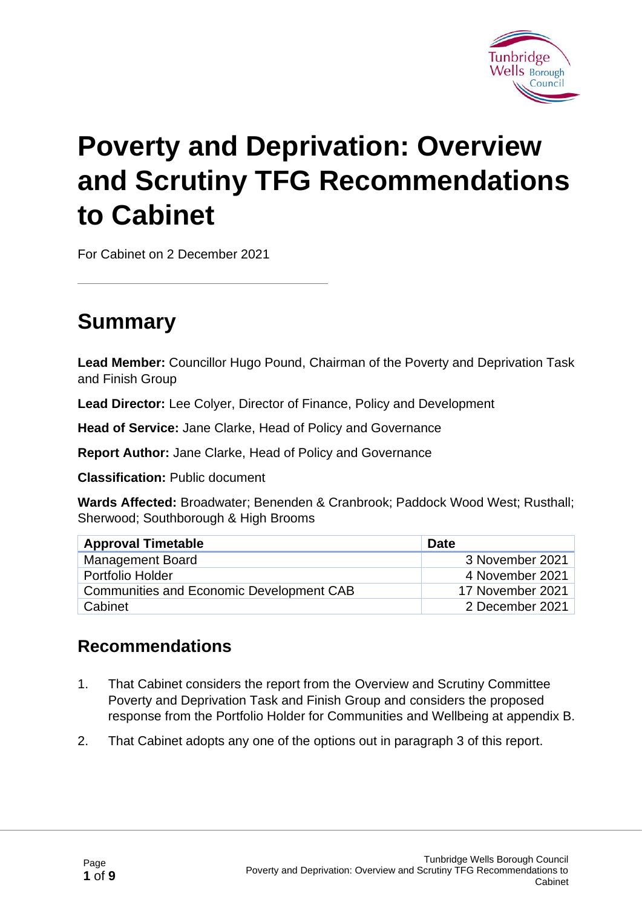

# **Poverty and Deprivation: Overview and Scrutiny TFG Recommendations to Cabinet**

For Cabinet on 2 December 2021

### **Summary**

**Lead Member:** Councillor Hugo Pound, Chairman of the Poverty and Deprivation Task and Finish Group

**Lead Director:** Lee Colyer, Director of Finance, Policy and Development

**Head of Service:** Jane Clarke, Head of Policy and Governance

**Report Author:** Jane Clarke, Head of Policy and Governance

**Classification:** Public document

**Wards Affected:** Broadwater; Benenden & Cranbrook; Paddock Wood West; Rusthall; Sherwood; Southborough & High Brooms

| <b>Approval Timetable</b>                | <b>Date</b>      |
|------------------------------------------|------------------|
| <b>Management Board</b>                  | 3 November 2021  |
| Portfolio Holder                         | 4 November 2021  |
| Communities and Economic Development CAB | 17 November 2021 |
| Cabinet                                  | 2 December 2021  |

#### **Recommendations**

- 1. That Cabinet considers the report from the Overview and Scrutiny Committee Poverty and Deprivation Task and Finish Group and considers the proposed response from the Portfolio Holder for Communities and Wellbeing at appendix B.
- 2. That Cabinet adopts any one of the options out in paragraph 3 of this report.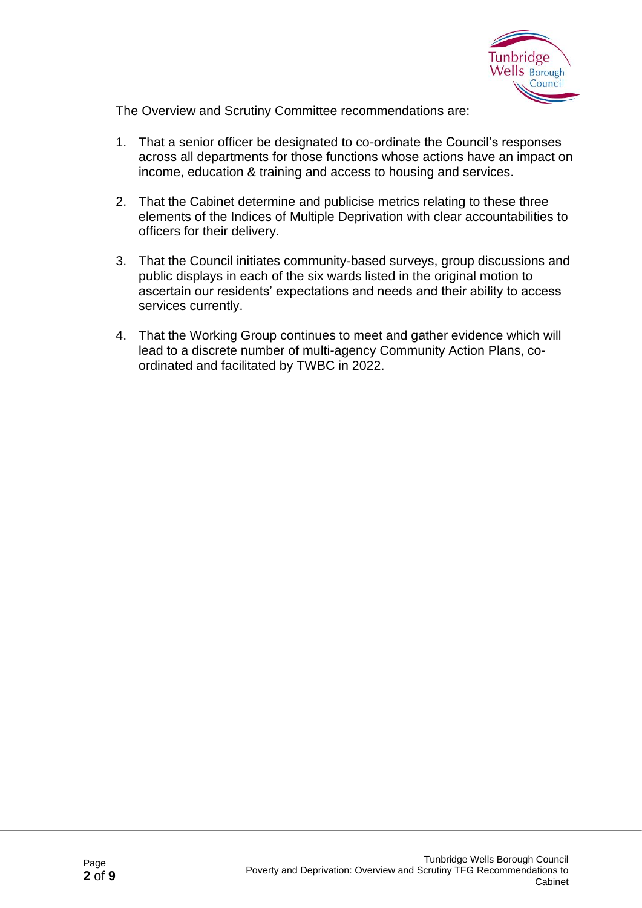

The Overview and Scrutiny Committee recommendations are:

- 1. That a senior officer be designated to co-ordinate the Council's responses across all departments for those functions whose actions have an impact on income, education & training and access to housing and services.
- 2. That the Cabinet determine and publicise metrics relating to these three elements of the Indices of Multiple Deprivation with clear accountabilities to officers for their delivery.
- 3. That the Council initiates community-based surveys, group discussions and public displays in each of the six wards listed in the original motion to ascertain our residents' expectations and needs and their ability to access services currently.
- 4. That the Working Group continues to meet and gather evidence which will lead to a discrete number of multi-agency Community Action Plans, coordinated and facilitated by TWBC in 2022.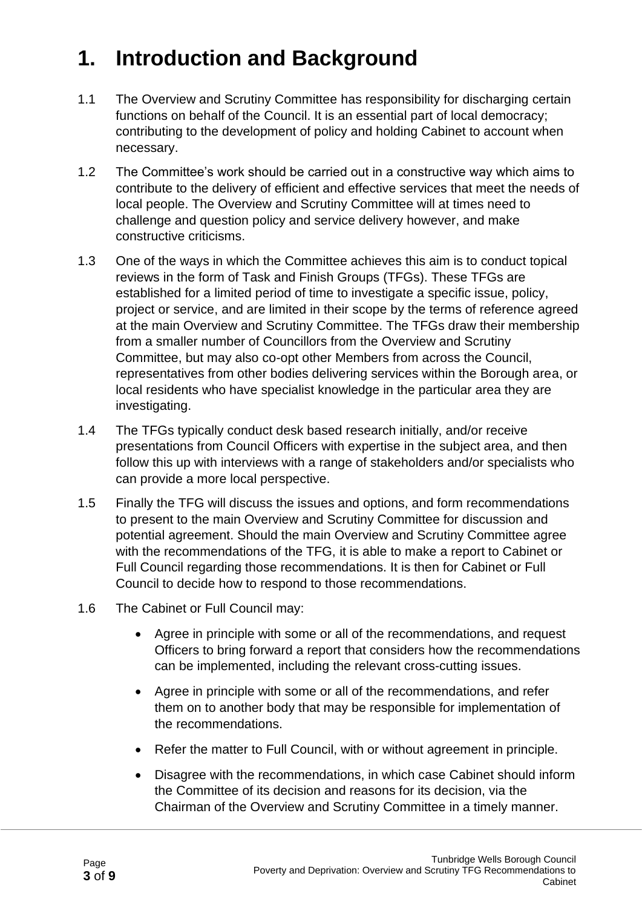## **1. Introduction and Background**

- 1.1 The Overview and Scrutiny Committee has responsibility for discharging certain functions on behalf of the Council. It is an essential part of local democracy; contributing to the development of policy and holding Cabinet to account when necessary.
- 1.2 The Committee's work should be carried out in a constructive way which aims to contribute to the delivery of efficient and effective services that meet the needs of local people. The Overview and Scrutiny Committee will at times need to challenge and question policy and service delivery however, and make constructive criticisms.
- 1.3 One of the ways in which the Committee achieves this aim is to conduct topical reviews in the form of Task and Finish Groups (TFGs). These TFGs are established for a limited period of time to investigate a specific issue, policy, project or service, and are limited in their scope by the terms of reference agreed at the main Overview and Scrutiny Committee. The TFGs draw their membership from a smaller number of Councillors from the Overview and Scrutiny Committee, but may also co-opt other Members from across the Council, representatives from other bodies delivering services within the Borough area, or local residents who have specialist knowledge in the particular area they are investigating.
- 1.4 The TFGs typically conduct desk based research initially, and/or receive presentations from Council Officers with expertise in the subject area, and then follow this up with interviews with a range of stakeholders and/or specialists who can provide a more local perspective.
- 1.5 Finally the TFG will discuss the issues and options, and form recommendations to present to the main Overview and Scrutiny Committee for discussion and potential agreement. Should the main Overview and Scrutiny Committee agree with the recommendations of the TFG, it is able to make a report to Cabinet or Full Council regarding those recommendations. It is then for Cabinet or Full Council to decide how to respond to those recommendations.
- 1.6 The Cabinet or Full Council may:
	- Agree in principle with some or all of the recommendations, and request Officers to bring forward a report that considers how the recommendations can be implemented, including the relevant cross-cutting issues.
	- Agree in principle with some or all of the recommendations, and refer them on to another body that may be responsible for implementation of the recommendations.
	- Refer the matter to Full Council, with or without agreement in principle.
	- Disagree with the recommendations, in which case Cabinet should inform the Committee of its decision and reasons for its decision, via the Chairman of the Overview and Scrutiny Committee in a timely manner.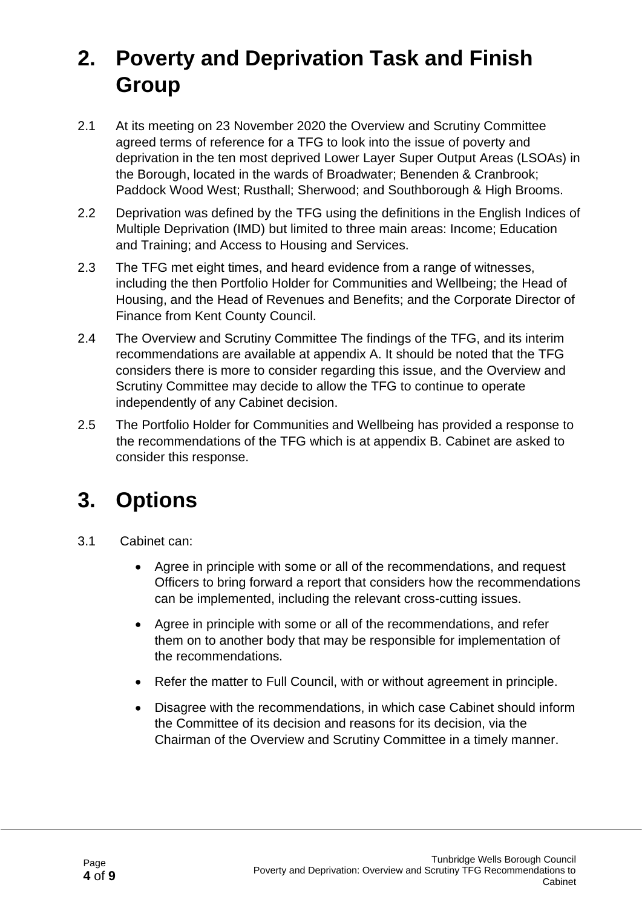### **2. Poverty and Deprivation Task and Finish Group**

- 2.1 At its meeting on 23 November 2020 the Overview and Scrutiny Committee agreed terms of reference for a TFG to look into the issue of poverty and deprivation in the ten most deprived Lower Layer Super Output Areas (LSOAs) in the Borough, located in the wards of Broadwater; Benenden & Cranbrook; Paddock Wood West; Rusthall; Sherwood; and Southborough & High Brooms.
- 2.2 Deprivation was defined by the TFG using the definitions in the English Indices of Multiple Deprivation (IMD) but limited to three main areas: Income; Education and Training; and Access to Housing and Services.
- 2.3 The TFG met eight times, and heard evidence from a range of witnesses, including the then Portfolio Holder for Communities and Wellbeing; the Head of Housing, and the Head of Revenues and Benefits; and the Corporate Director of Finance from Kent County Council.
- 2.4 The Overview and Scrutiny Committee The findings of the TFG, and its interim recommendations are available at appendix A. It should be noted that the TFG considers there is more to consider regarding this issue, and the Overview and Scrutiny Committee may decide to allow the TFG to continue to operate independently of any Cabinet decision.
- 2.5 The Portfolio Holder for Communities and Wellbeing has provided a response to the recommendations of the TFG which is at appendix B. Cabinet are asked to consider this response.

### **3. Options**

- 3.1 Cabinet can:
	- Agree in principle with some or all of the recommendations, and request Officers to bring forward a report that considers how the recommendations can be implemented, including the relevant cross-cutting issues.
	- Agree in principle with some or all of the recommendations, and refer them on to another body that may be responsible for implementation of the recommendations.
	- Refer the matter to Full Council, with or without agreement in principle.
	- Disagree with the recommendations, in which case Cabinet should inform the Committee of its decision and reasons for its decision, via the Chairman of the Overview and Scrutiny Committee in a timely manner.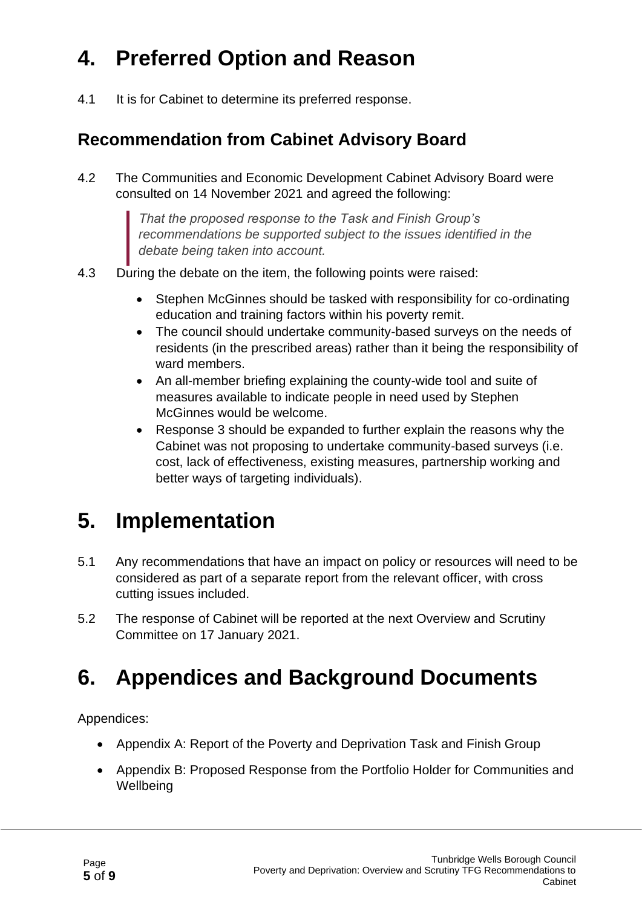## **4. Preferred Option and Reason**

4.1 It is for Cabinet to determine its preferred response.

#### **Recommendation from Cabinet Advisory Board**

4.2 The Communities and Economic Development Cabinet Advisory Board were consulted on 14 November 2021 and agreed the following:

> *That the proposed response to the Task and Finish Group's recommendations be supported subject to the issues identified in the debate being taken into account.*

- 4.3 During the debate on the item, the following points were raised:
	- Stephen McGinnes should be tasked with responsibility for co-ordinating education and training factors within his poverty remit.
	- The council should undertake community-based surveys on the needs of residents (in the prescribed areas) rather than it being the responsibility of ward members.
	- An all-member briefing explaining the county-wide tool and suite of measures available to indicate people in need used by Stephen McGinnes would be welcome.
	- Response 3 should be expanded to further explain the reasons why the Cabinet was not proposing to undertake community-based surveys (i.e. cost, lack of effectiveness, existing measures, partnership working and better ways of targeting individuals).

### **5. Implementation**

- 5.1 Any recommendations that have an impact on policy or resources will need to be considered as part of a separate report from the relevant officer, with cross cutting issues included.
- 5.2 The response of Cabinet will be reported at the next Overview and Scrutiny Committee on 17 January 2021.

### **6. Appendices and Background Documents**

Appendices:

- Appendix A: Report of the Poverty and Deprivation Task and Finish Group
- Appendix B: Proposed Response from the Portfolio Holder for Communities and **Wellbeing**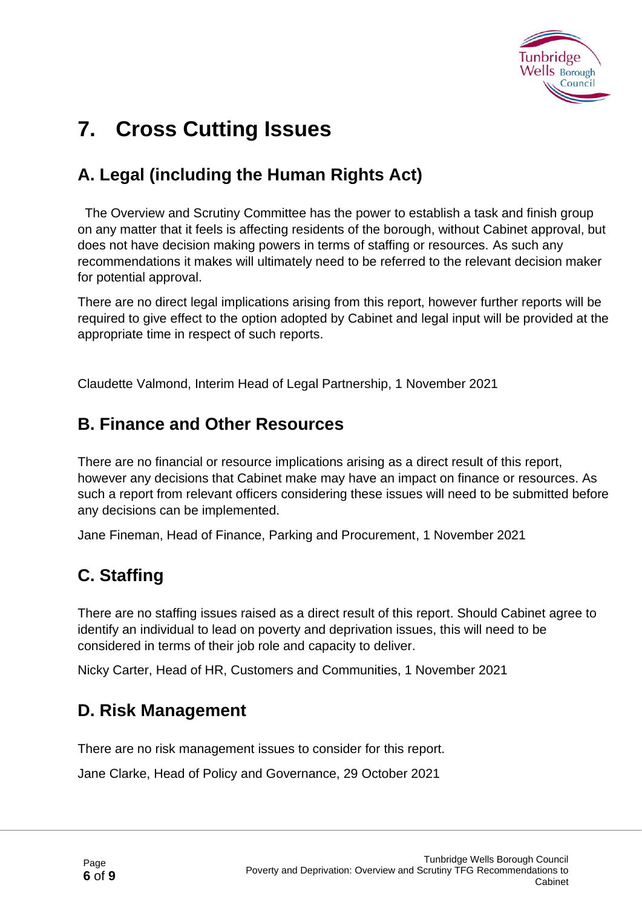

### **7. Cross Cutting Issues**

#### **A. Legal (including the Human Rights Act)**

The Overview and Scrutiny Committee has the power to establish a task and finish group on any matter that it feels is affecting residents of the borough, without Cabinet approval, but does not have decision making powers in terms of staffing or resources. As such any recommendations it makes will ultimately need to be referred to the relevant decision maker for potential approval.

There are no direct legal implications arising from this report, however further reports will be required to give effect to the option adopted by Cabinet and legal input will be provided at the appropriate time in respect of such reports.

Claudette Valmond, Interim Head of Legal Partnership, 1 November 2021

#### **B. Finance and Other Resources**

There are no financial or resource implications arising as a direct result of this report, however any decisions that Cabinet make may have an impact on finance or resources. As such a report from relevant officers considering these issues will need to be submitted before any decisions can be implemented.

Jane Fineman, Head of Finance, Parking and Procurement, 1 November 2021

#### **C. Staffing**

There are no staffing issues raised as a direct result of this report. Should Cabinet agree to identify an individual to lead on poverty and deprivation issues, this will need to be considered in terms of their job role and capacity to deliver.

Nicky Carter, Head of HR, Customers and Communities, 1 November 2021

#### **D. Risk Management**

There are no risk management issues to consider for this report.

Jane Clarke, Head of Policy and Governance, 29 October 2021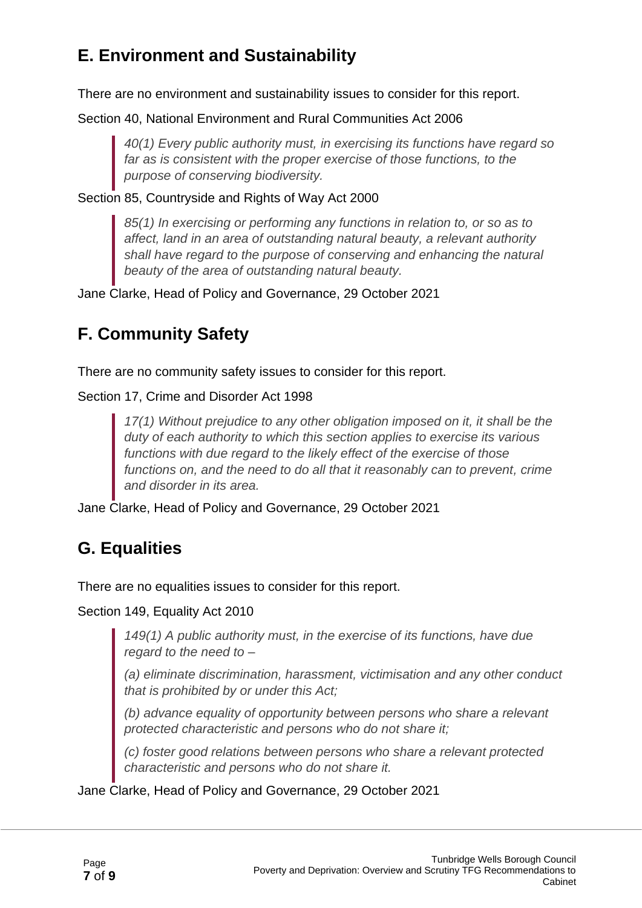#### **E. Environment and Sustainability**

There are no environment and sustainability issues to consider for this report.

Section 40, National Environment and Rural Communities Act 2006

*40(1) Every public authority must, in exercising its functions have regard so far as is consistent with the proper exercise of those functions, to the purpose of conserving biodiversity.*

Section 85, Countryside and Rights of Way Act 2000

*85(1) In exercising or performing any functions in relation to, or so as to affect, land in an area of outstanding natural beauty, a relevant authority shall have regard to the purpose of conserving and enhancing the natural beauty of the area of outstanding natural beauty.*

Jane Clarke, Head of Policy and Governance, 29 October 2021

#### **F. Community Safety**

There are no community safety issues to consider for this report.

Section 17, Crime and Disorder Act 1998

*17(1) Without prejudice to any other obligation imposed on it, it shall be the duty of each authority to which this section applies to exercise its various functions with due regard to the likely effect of the exercise of those functions on, and the need to do all that it reasonably can to prevent, crime and disorder in its area.*

Jane Clarke, Head of Policy and Governance, 29 October 2021

#### **G. Equalities**

There are no equalities issues to consider for this report.

Section 149, Equality Act 2010

*149(1) A public authority must, in the exercise of its functions, have due regard to the need to –*

*(a) eliminate discrimination, harassment, victimisation and any other conduct that is prohibited by or under this Act;*

*(b) advance equality of opportunity between persons who share a relevant protected characteristic and persons who do not share it;*

*(c) foster good relations between persons who share a relevant protected characteristic and persons who do not share it.*

Jane Clarke, Head of Policy and Governance, 29 October 2021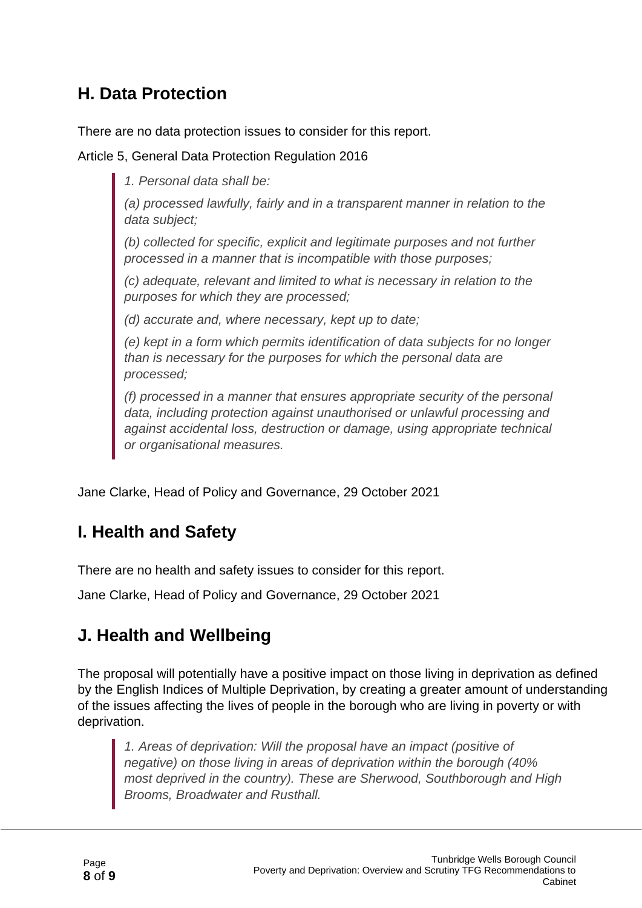#### **H. Data Protection**

There are no data protection issues to consider for this report.

Article 5, General Data Protection Regulation 2016

*1. Personal data shall be:*

*(a) processed lawfully, fairly and in a transparent manner in relation to the data subject;*

*(b) collected for specific, explicit and legitimate purposes and not further processed in a manner that is incompatible with those purposes;*

*(c) adequate, relevant and limited to what is necessary in relation to the purposes for which they are processed;*

*(d) accurate and, where necessary, kept up to date;*

*(e) kept in a form which permits identification of data subjects for no longer than is necessary for the purposes for which the personal data are processed;*

*(f) processed in a manner that ensures appropriate security of the personal data, including protection against unauthorised or unlawful processing and against accidental loss, destruction or damage, using appropriate technical or organisational measures.*

Jane Clarke, Head of Policy and Governance, 29 October 2021

#### **I. Health and Safety**

There are no health and safety issues to consider for this report.

Jane Clarke, Head of Policy and Governance, 29 October 2021

#### **J. Health and Wellbeing**

The proposal will potentially have a positive impact on those living in deprivation as defined by the English Indices of Multiple Deprivation, by creating a greater amount of understanding of the issues affecting the lives of people in the borough who are living in poverty or with deprivation.

*1. Areas of deprivation: Will the proposal have an impact (positive of negative) on those living in areas of deprivation within the borough (40% most deprived in the country). These are Sherwood, Southborough and High Brooms, Broadwater and Rusthall.*